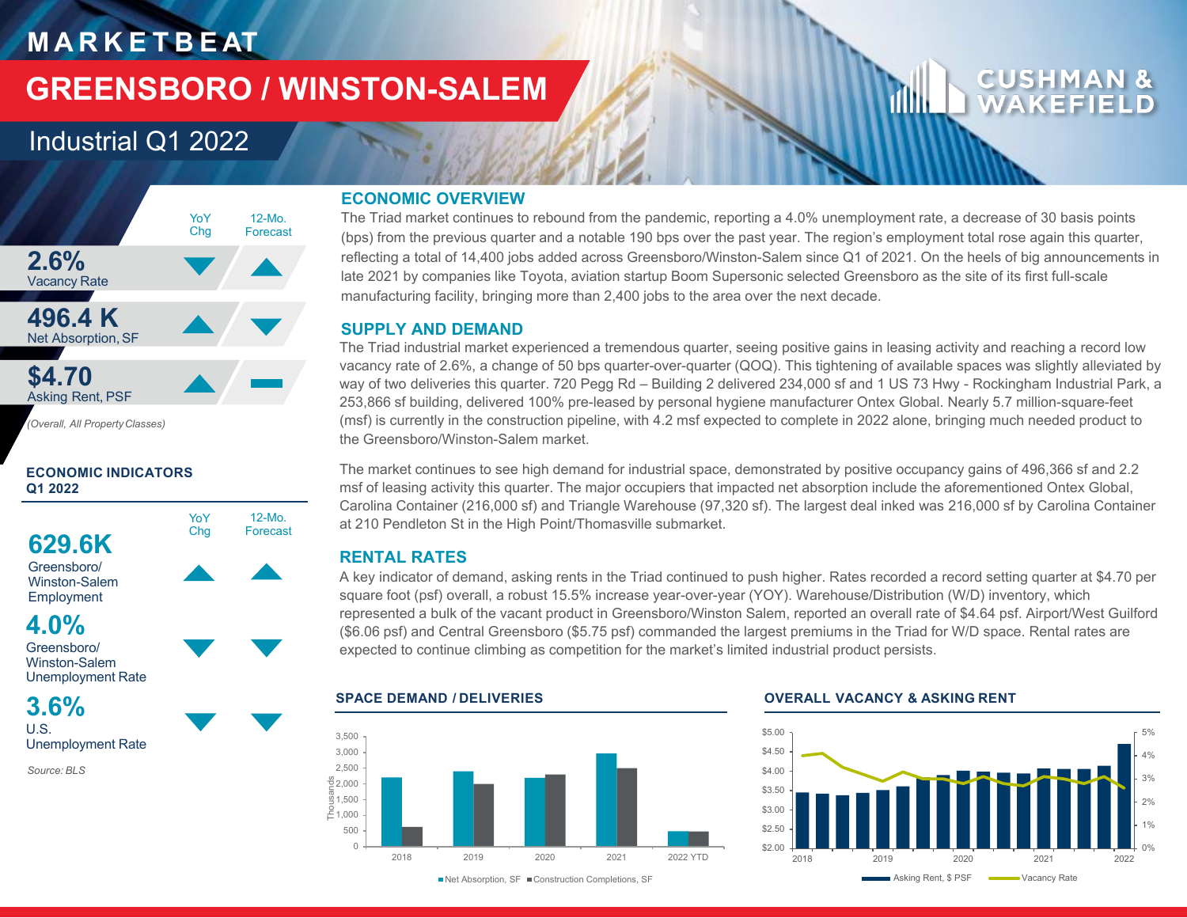# **M A R K E T B E AT**

# **GREENSBORO / WINSTON-SALEM**

12-Mo. Forecast

# Industrial Q1 2022



*(Overall, All PropertyClasses)*

# **ECONOMIC INDICATORS Q1 2022**



Winston-Salem Unemployment Rate

# **3.6%** U.S.

Unemployment Rate

*Source: BLS*

# **ECONOMIC OVERVIEW**

The Triad market continues to rebound from the pandemic, reporting a 4.0% unemployment rate, a decrease of 30 basis points (bps) from the previous quarter and a notable 190 bps over the past year. The region's employment total rose again this quarter, reflecting a total of 14,400 jobs added across Greensboro/Winston-Salem since Q1 of 2021. On the heels of big announcements in late 2021 by companies like Toyota, aviation startup Boom Supersonic selected Greensboro as the site of its first full-scale manufacturing facility, bringing more than 2,400 jobs to the area over the next decade.

# **SUPPLY AND DEMAND**

The Triad industrial market experienced a tremendous quarter, seeing positive gains in leasing activity and reaching a record low vacancy rate of 2.6%, a change of 50 bps quarter-over-quarter (QOQ). This tightening of available spaces was slightly alleviated by way of two deliveries this quarter. 720 Pegg Rd – Building 2 delivered 234,000 sf and 1 US 73 Hwy - Rockingham Industrial Park, a 253,866 sf building, delivered 100% pre-leased by personal hygiene manufacturer Ontex Global. Nearly 5.7 million-square-feet (msf) is currently in the construction pipeline, with 4.2 msf expected to complete in 2022 alone, bringing much needed product to the Greensboro/Winston-Salem market.

The market continues to see high demand for industrial space, demonstrated by positive occupancy gains of 496,366 sf and 2.2 msf of leasing activity this quarter. The major occupiers that impacted net absorption include the aforementioned Ontex Global, Carolina Container (216,000 sf) and Triangle Warehouse (97,320 sf). The largest deal inked was 216,000 sf by Carolina Container at 210 Pendleton St in the High Point/Thomasville submarket.

# **RENTAL RATES**

A key indicator of demand, asking rents in the Triad continued to push higher. Rates recorded a record setting quarter at \$4.70 per square foot (psf) overall, a robust 15.5% increase year-over-year (YOY). Warehouse/Distribution (W/D) inventory, which represented a bulk of the vacant product in Greensboro/Winston Salem, reported an overall rate of \$4.64 psf. Airport/West Guilford (\$6.06 psf) and Central Greensboro (\$5.75 psf) commanded the largest premiums in the Triad for W/D space. Rental rates are expected to continue climbing as competition for the market's limited industrial product persists.



■Net Absorption, SF ■ Construction Completions, SF

## **SPACE DEMAND / DELIVERIES OVERALL VACANCY & ASKING RENT**